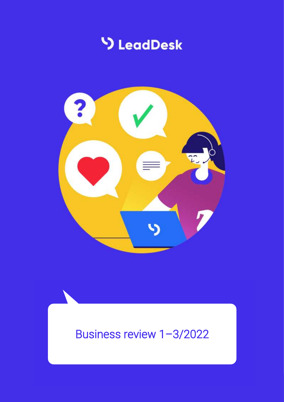



# Business review 1–3/2022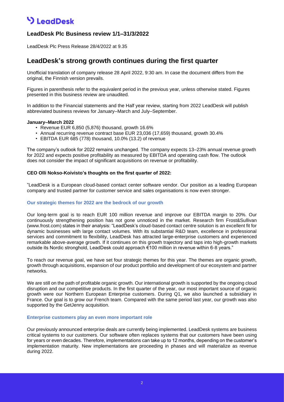## **V** LeadDesk

### **LeadDesk Plc Business review 1/1–31/3/2022**

LeadDesk Plc Press Release 28/4/2022 at 9.35

### **LeadDesk's strong growth continues during the first quarter**

Unofficial translation of company release 28 April 2022, 9:30 am. In case the document differs from the original, the Finnish version prevails.

Figures in parenthesis refer to the equivalent period in the previous year, unless otherwise stated. Figures presented in this business review are unaudited.

In addition to the Financial statements and the Half year review, starting from 2022 LeadDesk will publish abbreviated business reviews for January–March and July–September.

#### **January–March 2022**

- Revenue EUR 6,850 (5,876) thousand, growth 16.6%
- Annual recurring revenue contract base EUR 23,036 (17,659) thousand, growth 30.4%
- EBITDA EUR 685 (778) thousand, 10.0% (13.2) of revenue

The company's outlook for 2022 remains unchanged. The company expects 13–23% annual revenue growth for 2022 and expects positive profitability as measured by EBITDA and operating cash flow. The outlook does not consider the impact of significant acquisitions on revenue or profitability.

#### **CEO Olli Nokso-Koivisto's thoughts on the first quarter of 2022:**

"LeadDesk is a European cloud-based contact center software vendor. Our position as a leading European company and trusted partner for customer service and sales organisations is now even stronger.

#### **Our strategic themes for 2022 are the bedrock of our growth**

Our long-term goal is to reach EUR 100 million revenue and improve our EBITDA margin to 20%. Our continuously strengthening position has not gone unnoticed in the market. Research firm Frost&Sullivan (www.frost.com) states in their analysis: "LeadDesk's cloud-based contact centre solution is an excellent fit for dynamic businesses with large contact volumes. With its substantial R&D team, excellence in professional services and commitment to flexibility, LeadDesk has attracted large-enterprise customers and experienced remarkable above-average growth. If it continues on this growth trajectory and taps into high-growth markets outside its Nordic stronghold, LeadDesk could approach €100 million in revenue within 6-8 years."

To reach our revenue goal, we have set four strategic themes for this year. The themes are organic growth, growth through acquisitions, expansion of our product portfolio and development of our ecosystem and partner networks.

We are still on the path of profitable organic growth. Our international growth is supported by the ongoing cloud disruption and our competitive products. In the first quarter of the year, our most important source of organic growth were our Northern European Enterprise customers. During Q1, we also launched a subsidiary in France. Our goal is to grow our French team. Compared with the same period last year, our growth was also supported by the GetJenny acquisition.

#### **Enterprise customers play an even more important role**

Our previously announced enterprise deals are currently being implemented. LeadDesk systems are business critical systems to our customers. Our software often replaces systems that our customers have been using for years or even decades. Therefore, implementations can take up to 12 months, depending on the customer's implementation maturity. New implementations are proceeding in phases and will materialize as revenue during 2022.